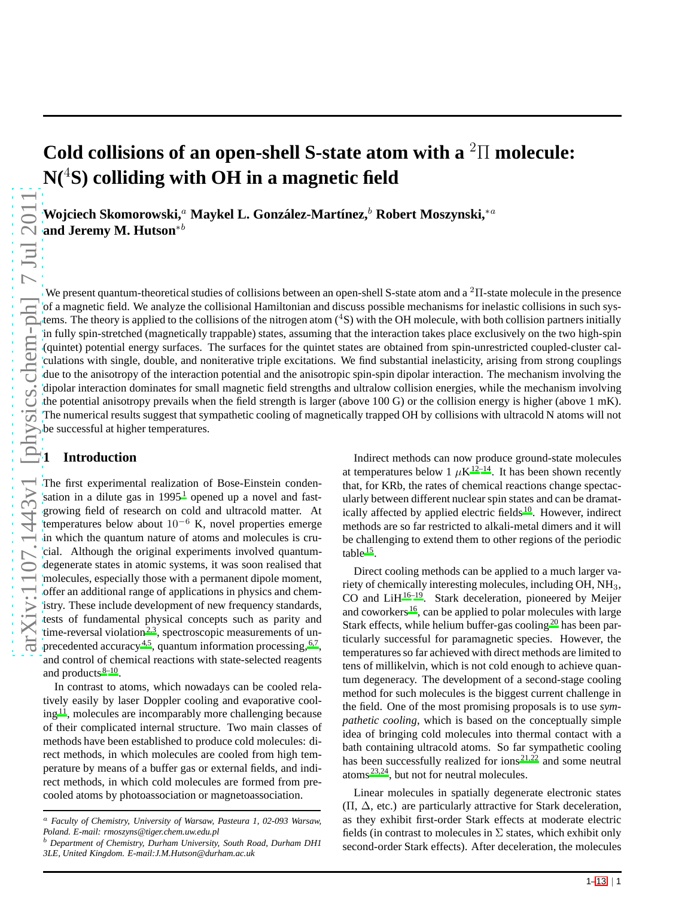# **Cold collisions of an open-shell S-state atom with a** <sup>2</sup>Π **molecule: N(**<sup>4</sup>**S) colliding with OH in a magnetic field**

 $\mathbf{W}$ ojciech Skomorowski, $^a$  Maykel L. González-Martínez, $^b$  Robert Moszynski, $^{*a}$ **and Jeremy M. Hutson**<sup>∗</sup><sup>b</sup>

We present quantum-theoretical studies of collisions between an open-shell S-state atom and a  ${}^{2}$ II-state molecule in the presence of a magnetic field. We analyze the collisional Hamiltonian and discuss possible mechanisms for inelastic collisions in such systems. The theory is applied to the collisions of the nitrogen atom  $(^4S)$  with the OH molecule, with both collision partners initially in fully spin-stretched (magnetically trappable) states, assuming that the interaction takes place exclusively on the two high-spin (quintet) potential energy surfaces. The surfaces for the quintet states are obtained from spin-unrestricted coupled-cluster calculations with single, double, and noniterative triple excitations. We find substantial inelasticity, arising from strong couplings due to the anisotropy of the interaction potential and the anisotropic spin-spin dipolar interaction. The mechanism involving the dipolar interaction dominates for small magnetic field strengths and ultralow collision energies, while the mechanism involving the potential anisotropy prevails when the field strength is larger (above 100 G) or the collision energy is higher (above 1 mK). The numerical results suggest that sympathetic cooling of magnetically trapped OH by collisions with ultracold N atoms will not be successful at higher temperatures.

## **1 Introduction**

The first experimental realization of Bose-Einstein condensation in a dilute gas in  $1995<sup>1</sup>$  $1995<sup>1</sup>$  opened up a novel and fastgrowing field of research on cold and ultracold matter. At temperatures below about  $10^{-6}$  K, novel properties emerge in which the quantum nature of atoms and molecules is crucial. Although the original experiments involved quantumdegenerate states in atomic systems, it was soon realised that molecules, especially those with a permanent dipole moment, offer an additional range of applications in physics and chemistry. These include development of new frequency standards, tests of fundamental physical concepts such as parity and time-reversal violation<sup>[2](#page-11-1)[,3](#page-11-2)</sup>, spectroscopic measurements of un-precedented accuracy<sup>[4](#page-11-3)[,5](#page-11-4)</sup>, quantum information processing,  $67$  $67$ , and control of chemical reactions with state-selected reagents and product[s](#page-11-7) <sup>8-10</sup>.

In contrast to atoms, which nowadays can be cooled relatively easily by laser Doppler cooling and evaporative cool- $ing<sup>11</sup>$  $ing<sup>11</sup>$  $ing<sup>11</sup>$ , molecules are incomparably more challenging because of their complicated internal structure. Two main classes of methods have been established to produce cold molecules: direct methods, in which molecules are cooled from high temperature by means of a buffer gas or external fields, and indirect methods, in which cold molecules are formed from precooled atoms by photoassociation or magnetoassociation.

Indirect methods can now produce ground-state molecules at temperatures below 1  $\mu$ K<sup>[12](#page-11-10)[–14](#page-11-11)</sup>. It has been shown recently that, for KRb, the rates of chemical reactions change spectacularly between different nuclear spin states and can be dramat-ically affected by applied electric fields <sup>[10](#page-11-8)</sup>. However, indirect methods are so far restricted to alkali-metal dimers and it will be challenging to extend them to other regions of the periodic table  $15$ .

Direct cooling methods can be applied to a much larger variety of chemically interesting molecules, including OH,  $\mathrm{NH}_3,$ CO and LiH $^{16-19}$  $^{16-19}$  $^{16-19}$ . Stark deceleration, pioneered by Meijer and coworkers<sup>[16](#page-11-13)</sup>, can be applied to polar molecules with large Stark effects, while helium buffer-gas cooling<sup>[20](#page-12-1)</sup> has been particularly successful for paramagnetic species. However, the temperatures so far achieved with direct methods are limited to tens of millikelvin, which is not cold enough to achieve quantum degeneracy. The development of a second-stage cooling method for such molecules is the biggest current challenge in the field. One of the most promising proposals is to use *sympathetic cooling*, which is based on the conceptually simple idea of bringing cold molecules into thermal contact with a bath containing ultracold atoms. So far sympathetic cooling has been successfully realized for ions<sup>[21](#page-12-2)[,22](#page-12-3)</sup> and some neutral atoms [23](#page-12-4)[,24](#page-12-5), but not for neutral molecules.

Linear molecules in spatially degenerate electronic states ( $\Pi$ ,  $\Delta$ , etc.) are particularly attractive for Stark deceleration, as they exhibit first-order Stark effects at moderate electric fields (in contrast to molecules in  $\Sigma$  states, which exhibit only second-order Stark effects). After deceleration, the molecules

<sup>a</sup> *Faculty of Chemistry, University of Warsaw, Pasteura 1, 02-093 Warsaw, Poland. E-mail: rmoszyns@tiger.chem.uw.edu.pl*

<sup>b</sup> *Department of Chemistry, Durham University, South Road, Durham DH1 3LE, United Kingdom. E-mail:J.M.Hutson@durham.ac.uk*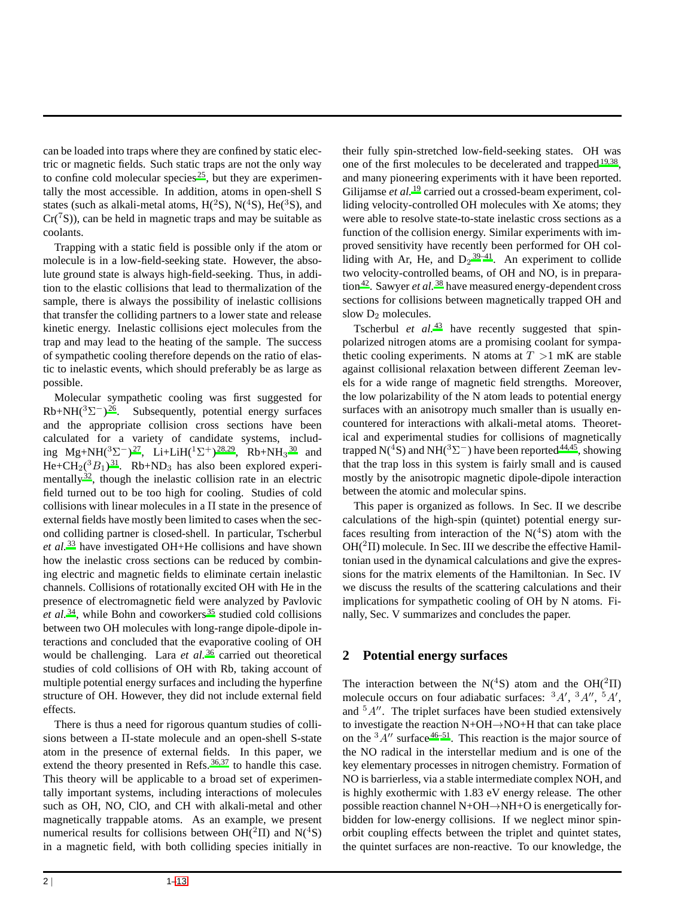can be loaded into traps where they are confined by static electric or magnetic fields. Such static traps are not the only way to confine cold molecular species<sup>[25](#page-12-7)</sup>, but they are experimentally the most accessible. In addition, atoms in open-shell S states (such as alkali-metal atoms,  $H(^{2}S)$ ,  $N(^{4}S)$ ,  $He(^{3}S)$ , and  $Cr(^{7}S)$ , can be held in magnetic traps and may be suitable as coolants.

Trapping with a static field is possible only if the atom or molecule is in a low-field-seeking state. However, the absolute ground state is always high-field-seeking. Thus, in addition to the elastic collisions that lead to thermalization of the sample, there is always the possibility of inelastic collisions that transfer the colliding partners to a lower state and release kinetic energy. Inelastic collisions eject molecules from the trap and may lead to the heating of the sample. The success of sympathetic cooling therefore depends on the ratio of elastic to inelastic events, which should preferably be as large as possible.

Molecular sympathetic cooling was first suggested for  $Rb+NH({}^{3}\Sigma^{-})^{26}$  $Rb+NH({}^{3}\Sigma^{-})^{26}$  $Rb+NH({}^{3}\Sigma^{-})^{26}$ . Subsequently, potential energy surfaces and the appropriate collision cross sections have been calculated for a variety of candidate systems, including Mg+NH( ${}^{3}\Sigma^{-}$ )<sup>[27](#page-12-9)</sup>, Li+LiH( ${}^{1}\Sigma^{+}$ )<sup>[28](#page-12-10)[,29](#page-12-11)</sup>, Rb+NH<sub>3</sub><sup>[30](#page-12-12)</sup> and He+CH<sub>2</sub>( ${}^{3}B_1$ )<sup>[31](#page-12-13)</sup>. Rb+ND<sub>3</sub> has also been explored experimentally  $32$ , though the inelastic collision rate in an electric field turned out to be too high for cooling. Studies of cold collisions with linear molecules in a Π state in the presence of external fields have mostly been limited to cases when the second colliding partner is closed-shell. In particular, Tscherbul *et al.* [33](#page-12-15) have investigated OH+He collisions and have shown how the inelastic cross sections can be reduced by combining electric and magnetic fields to eliminate certain inelastic channels. Collisions of rotationally excited OH with He in the presence of electromagnetic field were analyzed by Pavlovic *et al.* [34](#page-12-16), while Bohn and coworkers [35](#page-12-17) studied cold collisions between two OH molecules with long-range dipole-dipole interactions and concluded that the evaporative cooling of OH would be challenging. Lara *et al.* <sup>[36](#page-12-18)</sup> carried out theoretical studies of cold collisions of OH with Rb, taking account of multiple potential energy surfaces and including the hyperfine structure of OH. However, they did not include external field effects.

There is thus a need for rigorous quantum studies of collisions between a Π-state molecule and an open-shell S-state atom in the presence of external fields. In this paper, we extend the theory presented in Refs.<sup>[36](#page-12-18)[,37](#page-12-19)</sup> to handle this case. This theory will be applicable to a broad set of experimentally important systems, including interactions of molecules such as OH, NO, ClO, and CH with alkali-metal and other magnetically trappable atoms. As an example, we present numerical results for collisions between  $OH(^{2}\Pi)$  and  $N(^{4}S)$ in a magnetic field, with both colliding species initially in their fully spin-stretched low-field-seeking states. OH was one of the first molecules to be decelerated and trapped  $19,38$  $19,38$ , and many pioneering experiments with it have been reported. Gilijamse *et al.* <sup>[19](#page-12-0)</sup> carried out a crossed-beam experiment, colliding velocity-controlled OH molecules with Xe atoms; they were able to resolve state-to-state inelastic cross sections as a function of the collision energy. Similar experiments with improved sensitivity have recently been performed for OH colliding with Ar, He, and  $D_2^{39-41}$  $D_2^{39-41}$  $D_2^{39-41}$ . An experiment to collide two velocity-controlled beams, of OH and NO, is in prepara-tion<sup>[42](#page-12-23)</sup>. Sawyer *et al.* <sup>[38](#page-12-20)</sup> have measured energy-dependent cross sections for collisions between magnetically trapped OH and slow  $D_2$  molecules.

Tscherbul *et al.*<sup>[43](#page-12-24)</sup> have recently suggested that spinpolarized nitrogen atoms are a promising coolant for sympathetic cooling experiments. N atoms at  $T > 1$  mK are stable against collisional relaxation between different Zeeman levels for a wide range of magnetic field strengths. Moreover, the low polarizability of the N atom leads to potential energy surfaces with an anisotropy much smaller than is usually encountered for interactions with alkali-metal atoms. Theoretical and experimental studies for collisions of magnetically trapped N(<sup>4</sup>S) and NH(<sup>3</sup> $\Sigma^-$ ) have been reported <sup>[44](#page-12-25)[,45](#page-12-26)</sup>, showing that the trap loss in this system is fairly small and is caused mostly by the anisotropic magnetic dipole-dipole interaction between the atomic and molecular spins.

This paper is organized as follows. In Sec. II we describe calculations of the high-spin (quintet) potential energy surfaces resulting from interaction of the  $N(^4S)$  atom with the  $OH(^{2}\Pi)$  molecule. In Sec. III we describe the effective Hamiltonian used in the dynamical calculations and give the expressions for the matrix elements of the Hamiltonian. In Sec. IV we discuss the results of the scattering calculations and their implications for sympathetic cooling of OH by N atoms. Finally, Sec. V summarizes and concludes the paper.

# **2 Potential energy surfaces**

The interaction between the N(<sup>4</sup>S) atom and the OH(<sup>2</sup> $\Pi$ ) molecule occurs on four adiabatic surfaces:  $^{3}A'$ ,  $^{3}A''$ ,  $^{5}A'$ , and  $5A''$ . The triplet surfaces have been studied extensively to investigate the reaction N+OH→NO+H that can take place on the  ${}^{3}A''$  surface  ${}^{46-51}$  ${}^{46-51}$  ${}^{46-51}$ . This reaction is the major source of the NO radical in the interstellar medium and is one of the key elementary processes in nitrogen chemistry. Formation of NO is barrierless, via a stable intermediate complex NOH, and is highly exothermic with 1.83 eV energy release. The other possible reaction channel N+OH→NH+O is energetically forbidden for low-energy collisions. If we neglect minor spinorbit coupling effects between the triplet and quintet states, the quintet surfaces are non-reactive. To our knowledge, the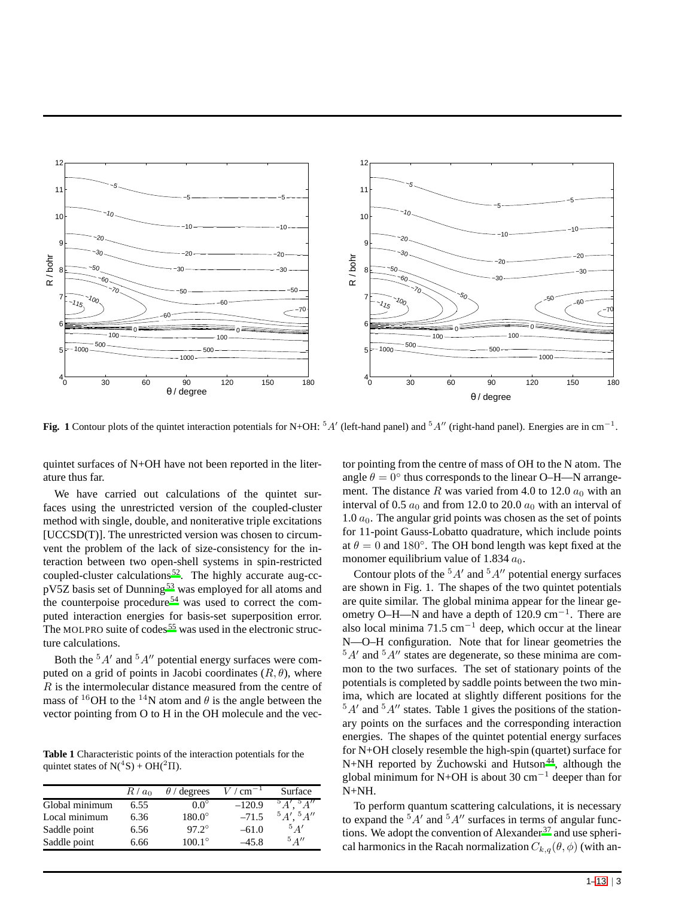

**Fig.** 1 Contour plots of the quintet interaction potentials for N+OH: <sup>5</sup>A' (left-hand panel) and <sup>5</sup>A'' (right-hand panel). Energies are in cm<sup>−1</sup>.

quintet surfaces of N+OH have not been reported in the literature thus far.

We have carried out calculations of the quintet surfaces using the unrestricted version of the coupled-cluster method with single, double, and noniterative triple excitations [UCCSD(T)]. The unrestricted version was chosen to circumvent the problem of the lack of size-consistency for the interaction between two open-shell systems in spin-restricted coupled-cluster calculations [52](#page-12-29). The highly accurate aug-cc-pV5Z basis set of Dunning<sup>[53](#page-12-30)</sup> was employed for all atoms and the counterpoise procedure [54](#page-12-31) was used to correct the computed interaction energies for basis-set superposition error. The MOLPRO suite of codes<sup>[55](#page-12-32)</sup> was used in the electronic structure calculations.

Both the  ${}^{5}A'$  and  ${}^{5}A''$  potential energy surfaces were computed on a grid of points in Jacobi coordinates  $(R, \theta)$ , where  $R$  is the intermolecular distance measured from the centre of mass of <sup>16</sup>OH to the <sup>14</sup>N atom and  $\theta$  is the angle between the vector pointing from O to H in the OH molecule and the vec-

**Table 1** Characteristic points of the interaction potentials for the quintet states of  $N(^4S) + OH(^2\Pi)$ .

|                | $R/a_0$ | $\theta$ / degrees | $/cm^{-1}$ | Surface                              |
|----------------|---------|--------------------|------------|--------------------------------------|
| Global minimum | 6.55    | $0.0^\circ$        | $-120.9$   | $5\overline{A''}$<br>$\overline{A}'$ |
| Local minimum  | 6.36    | $180.0^\circ$      | $-71.5$    | ${}^5A'$ , ${}^5A''$                 |
| Saddle point   | 6.56    | $97.2^{\circ}$     | $-61.0$    | 5A'                                  |
| Saddle point   | 6.66    | $100.1^{\circ}$    | $-45.8$    | $5 \frac{\Delta H}{2}$               |

tor pointing from the centre of mass of OH to the N atom. The angle  $\theta = 0^{\circ}$  thus corresponds to the linear O–H—N arrangement. The distance R was varied from 4.0 to 12.0  $a_0$  with an interval of 0.5  $a_0$  and from 12.0 to 20.0  $a_0$  with an interval of 1.0  $a_0$ . The angular grid points was chosen as the set of points for 11-point Gauss-Lobatto quadrature, which include points at  $\theta = 0$  and 180°. The OH bond length was kept fixed at the monomer equilibrium value of 1.834  $a_0$ .

Contour plots of the  ${}^5A'$  and  ${}^5A''$  potential energy surfaces are shown in Fig. 1. The shapes of the two quintet potentials are quite similar. The global minima appear for the linear geometry O–H—N and have a depth of 120.9 cm<sup>−</sup><sup>1</sup> . There are also local minima 71.5 cm<sup>-1</sup> deep, which occur at the linear N—O–H configuration. Note that for linear geometries the  ${}^{5}A'$  and  ${}^{5}A''$  states are degenerate, so these minima are common to the two surfaces. The set of stationary points of the potentials is completed by saddle points between the two minima, which are located at slightly different positions for the  $5A'$  and  $5A''$  states. Table 1 gives the positions of the stationary points on the surfaces and the corresponding interaction energies. The shapes of the quintet potential energy surfaces for N+OH closely resemble the high-spin (quartet) surface for N+NH reported by Żuchowski and Hutson<sup>[44](#page-12-25)</sup>, although the global minimum for N+OH is about 30  $cm^{-1}$  deeper than for N+NH.

To perform quantum scattering calculations, it is necessary to expand the  ${}^5A'$  and  ${}^5A''$  surfaces in terms of angular functions. We adopt the convention of Alexander  $37$  and use spherical harmonics in the Racah normalization  $C_{k,q}(\theta, \phi)$  (with an-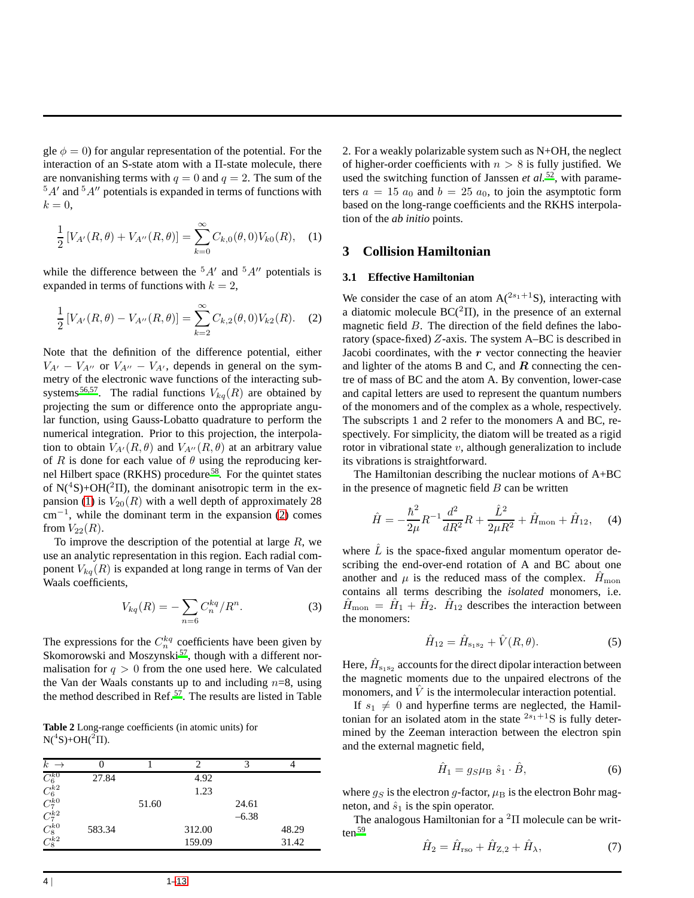gle  $\phi = 0$ ) for angular representation of the potential. For the interaction of an S-state atom with a  $\Pi$ -state molecule, there are nonvanishing terms with  $q = 0$  and  $q = 2$ . The sum of the  $5A'$  and  $5A''$  potentials is expanded in terms of functions with  $k=0,$ 

<span id="page-3-0"></span>
$$
\frac{1}{2}[V_{A'}(R,\theta) + V_{A''}(R,\theta)] = \sum_{k=0}^{\infty} C_{k,0}(\theta,0)V_{k0}(R), \quad (1)
$$

while the difference between the  ${}^{5}A'$  and  ${}^{5}A''$  potentials is expanded in terms of functions with  $k = 2$ ,

<span id="page-3-1"></span>
$$
\frac{1}{2}[V_{A'}(R,\theta) - V_{A''}(R,\theta)] = \sum_{k=2}^{\infty} C_{k,2}(\theta,0)V_{k2}(R). \quad (2)
$$

Note that the definition of the difference potential, either  $V_{A'} - V_{A''}$  or  $V_{A''} - V_{A'}$ , depends in general on the symmetry of the electronic wave functions of the interacting sub-systems <sup>[56](#page-12-33)[,57](#page-12-34)</sup>. The radial functions  $V_{kq}(R)$  are obtained by projecting the sum or difference onto the appropriate angular function, using Gauss-Lobatto quadrature to perform the numerical integration. Prior to this projection, the interpolation to obtain  $V_{A'}(R, \theta)$  and  $V_{A''}(R, \theta)$  at an arbitrary value of R is done for each value of  $\theta$  using the reproducing kernel Hilbert space (RKHS) procedure [58](#page-12-35). For the quintet states of  $N(^{4}S) + OH(^{2}\Pi)$ , the dominant anisotropic term in the ex-pansion [\(1\)](#page-3-0) is  $V_{20}(R)$  with a well depth of approximately 28  $\text{cm}^{-1}$ , while the dominant term in the expansion [\(2\)](#page-3-1) comes from  $V_{22}(R)$ .

To improve the description of the potential at large  $R$ , we use an analytic representation in this region. Each radial component  $V_{kq}(R)$  is expanded at long range in terms of Van der Waals coefficients,

$$
V_{kq}(R) = -\sum_{n=6} C_n^{kq} / R^n.
$$
 (3)

The expressions for the  $C_n^{kq}$  coefficients have been given by Skomorowski and Moszynski<sup>[57](#page-12-34)</sup>, though with a different normalisation for  $q > 0$  from the one used here. We calculated the Van der Waals constants up to and including  $n=8$ , using the method described in Ref. [57](#page-12-34). The results are listed in Table

**Table 2** Long-range coefficients (in atomic units) for  $N(^{4}S) + OH(^{2}\Pi)$ .

| $k \rightarrow$                                                                           |        |       |        |         |       |
|-------------------------------------------------------------------------------------------|--------|-------|--------|---------|-------|
| $\frac{C_6^{k0}}{C_6^{k2}} \ \ \frac{C_6^{k0}}{C_7^{k0}} \ \ \ \frac{C_8^{k0}}{C_8^{k2}}$ | 27.84  |       | 4.92   |         |       |
|                                                                                           |        |       | 1.23   |         |       |
|                                                                                           |        | 51.60 |        | 24.61   |       |
|                                                                                           |        |       |        | $-6.38$ |       |
|                                                                                           | 583.34 |       | 312.00 |         | 48.29 |
|                                                                                           |        |       | 159.09 |         | 31.42 |

2. For a weakly polarizable system such as N+OH, the neglect of higher-order coefficients with  $n > 8$  is fully justified. We used the switching function of Janssen *et al.*<sup>[52](#page-12-29)</sup>, with parameters  $a = 15 a_0$  and  $b = 25 a_0$ , to join the asymptotic form based on the long-range coefficients and the RKHS interpolation of the *ab initio* points.

## **3 Collision Hamiltonian**

#### **3.1 Effective Hamiltonian**

We consider the case of an atom  $A(^{2s_1+1}S)$ , interacting with a diatomic molecule  $BC(^{2}\Pi)$ , in the presence of an external magnetic field B. The direction of the field defines the laboratory (space-fixed) Z-axis. The system A–BC is described in Jacobi coordinates, with the  $r$  vector connecting the heavier and lighter of the atoms B and C, and  $R$  connecting the centre of mass of BC and the atom A. By convention, lower-case and capital letters are used to represent the quantum numbers of the monomers and of the complex as a whole, respectively. The subscripts 1 and 2 refer to the monomers A and BC, respectively. For simplicity, the diatom will be treated as a rigid rotor in vibrational state  $v$ , although generalization to include its vibrations is straightforward.

The Hamiltonian describing the nuclear motions of A+BC in the presence of magnetic field  $B$  can be written

<span id="page-3-3"></span>
$$
\hat{H} = -\frac{\hbar^2}{2\mu}R^{-1}\frac{d^2}{dR^2}R + \frac{\hat{L}^2}{2\mu R^2} + \hat{H}_{\text{mon}} + \hat{H}_{12}, \quad (4)
$$

where  $\hat{L}$  is the space-fixed angular momentum operator describing the end-over-end rotation of A and BC about one another and  $\mu$  is the reduced mass of the complex.  $\hat{H}_{\text{mon}}$ contains all terms describing the *isolated* monomers, i.e.  $\hat{H}_{\text{mon}} = \hat{H}_1 + \hat{H}_2$ .  $\hat{H}_{12}$  describes the interaction between the monomers:

$$
\hat{H}_{12} = \hat{H}_{s_1 s_2} + \hat{V}(R, \theta). \tag{5}
$$

Here,  $\hat{H}_{\text{s}_1\text{s}_2}$  accounts for the direct dipolar interaction between the magnetic moments due to the unpaired electrons of the monomers, and  $\hat{V}$  is the intermolecular interaction potential.

If  $s_1 \neq 0$  and hyperfine terms are neglected, the Hamiltonian for an isolated atom in the state  $2s_1+1$ S is fully determined by the Zeeman interaction between the electron spin and the external magnetic field,

$$
\hat{H}_1 = g_S \mu_\text{B} \hat{s}_1 \cdot \hat{B},\tag{6}
$$

where  $q_S$  is the electron g-factor,  $\mu_B$  is the electron Bohr magneton, and  $\hat{s}_1$  is the spin operator.

The analogous Hamiltonian for a  ${}^{2}\Pi$  molecule can be writ- $ten<sup>59</sup>$  $ten<sup>59</sup>$  $ten<sup>59</sup>$ 

<span id="page-3-2"></span>
$$
\hat{H}_2 = \hat{H}_{\text{rso}} + \hat{H}_{\text{Z},2} + \hat{H}_{\lambda},\tag{7}
$$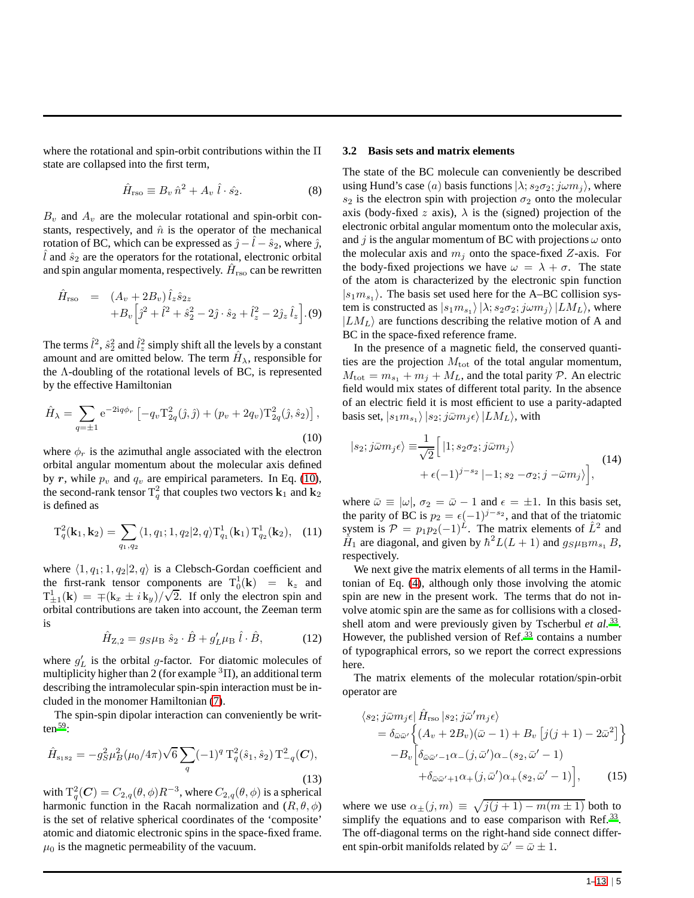where the rotational and spin-orbit contributions within the Π state are collapsed into the first term,

$$
\hat{H}_{\text{rso}} \equiv B_v \,\hat{n}^2 + A_v \,\hat{l} \cdot \hat{s}_2. \tag{8}
$$

 $B_v$  and  $A_v$  are the molecular rotational and spin-orbit constants, respectively, and  $\hat{n}$  is the operator of the mechanical rotation of BC, which can be expressed as  $\hat{j} - \hat{l} - \hat{s}_2$ , where  $\hat{j}$ , l and  $\hat{s}_2$  are the operators for the rotational, electronic orbital and spin angular momenta, respectively.  $\hat{H}_{\mathrm{rso}}$  can be rewritten

$$
\hat{H}_{\text{rso}} = (A_v + 2B_v) \hat{l}_z \hat{s}_{2z} \n+ B_v \left[ \hat{j}^2 + \hat{l}^2 + \hat{s}_2^2 - 2\hat{j} \cdot \hat{s}_2 + \hat{l}_z^2 - 2\hat{j}_z \hat{l}_z \right].
$$
\n(9)

The terms  $\hat{l}^2$ ,  $\hat{s}_2^2$  and  $\hat{l}_z^2$  simply shift all the levels by a constant amount and are omitted below. The term  $\hat{H}_{\lambda}$ , responsible for the Λ-doubling of the rotational levels of BC, is represented by the effective Hamiltonian

<span id="page-4-0"></span>
$$
\hat{H}_{\lambda} = \sum_{q=\pm 1} e^{-2iq\phi_r} \left[ -q_v \mathcal{T}_{2q}^2(\hat{\jmath}, \hat{\jmath}) + (p_v + 2q_v) \mathcal{T}_{2q}^2(\hat{\jmath}, \hat{s}_2) \right],
$$
\n(10)

where  $\phi_r$  is the azimuthal angle associated with the electron orbital angular momentum about the molecular axis defined by r, while  $p_v$  and  $q_v$  are empirical parameters. In Eq. [\(10\)](#page-4-0), the second-rank tensor  $T_q^2$  that couples two vectors  ${\bf k}_1$  and  ${\bf k}_2$ is defined as

$$
T_q^2(\mathbf{k}_1, \mathbf{k}_2) = \sum_{q_1, q_2} \langle 1, q_1; 1, q_2 | 2, q \rangle T_{q_1}^1(\mathbf{k}_1) T_{q_2}^1(\mathbf{k}_2), \quad (11)
$$

where  $\langle 1, q_1; 1, q_2|2, q \rangle$  is a Clebsch-Gordan coefficient and the first-rank tensor components are  $T_0^1(\mathbf{k}) = \mathbf{k}_z$  and  $T_{\pm 1}^1(\mathbf{k}) = \pm (k_x \pm i k_y)/\sqrt{2}$ . If only the electron spin and orbital contributions are taken into account, the Zeeman term is

$$
\hat{H}_{Z,2} = g_S \mu_B \hat{s}_2 \cdot \hat{B} + g'_L \mu_B \hat{l} \cdot \hat{B},\tag{12}
$$

where  $g'_{L}$  is the orbital g-factor. For diatomic molecules of multiplicity higher than 2 (for example  ${}^{3}$  II), an additional term describing the intramolecular spin-spin interaction must be included in the monomer Hamiltonian [\(7\)](#page-3-2).

The spin-spin dipolar interaction can conveniently be written  $59$ :

$$
\hat{H}_{s_1s_2} = -g_S^2 \mu_B^2 (\mu_0/4\pi) \sqrt{6} \sum_q (-1)^q \, \mathrm{T}_q^2(\hat{s}_1, \hat{s}_2) \, \mathrm{T}_{-q}^2(\mathbf{C}),\tag{13}
$$

with  $T_q^2(C) = C_{2,q}(\theta, \phi) R^{-3}$ , where  $C_{2,q}(\theta, \phi)$  is a spherical harmonic function in the Racah normalization and  $(R, \theta, \phi)$ is the set of relative spherical coordinates of the 'composite' atomic and diatomic electronic spins in the space-fixed frame.  $\mu_0$  is the magnetic permeability of the vacuum.

#### **3.2 Basis sets and matrix elements**

The state of the BC molecule can conveniently be described using Hund's case (a) basis functions  $|\lambda; s_2 \sigma_2; j \omega m_j \rangle$ , where  $s_2$  is the electron spin with projection  $\sigma_2$  onto the molecular axis (body-fixed z axis),  $\lambda$  is the (signed) projection of the electronic orbital angular momentum onto the molecular axis, and j is the angular momentum of BC with projections  $\omega$  onto the molecular axis and  $m_i$  onto the space-fixed Z-axis. For the body-fixed projections we have  $\omega = \lambda + \sigma$ . The state of the atom is characterized by the electronic spin function  $|s_1m_{s_1}\rangle$ . The basis set used here for the A–BC collision system is constructed as  $|s_1 m_{s_1} \rangle | \lambda; s_2 \sigma_2; j \omega m_j \rangle | L M_L \rangle$ , where  $|LM_L\rangle$  are functions describing the relative motion of A and BC in the space-fixed reference frame.

In the presence of a magnetic field, the conserved quantities are the projection  $M_{\text{tot}}$  of the total angular momentum,  $M_{\text{tot}} = m_{s_1} + m_j + M_L$ , and the total parity  $P$ . An electric field would mix states of different total parity. In the absence of an electric field it is most efficient to use a parity-adapted basis set,  $|s_1 m_{s_1} \rangle |s_2;j \bar{\omega} m_j \epsilon \rangle |LM_L\rangle$ , with

<span id="page-4-1"></span>
$$
|s_2;j\bar{\omega}m_j\epsilon\rangle \equiv \frac{1}{\sqrt{2}} \Big[ |1; s_2\sigma_2;j\bar{\omega}m_j\rangle + \epsilon(-1)^{j-s_2} |1; s_2 - \sigma_2;j - \bar{\omega}m_j\rangle \Big], \tag{14}
$$

where  $\bar{\omega} \equiv |\omega|$ ,  $\sigma_2 = \bar{\omega} - 1$  and  $\epsilon = \pm 1$ . In this basis set, the parity of BC is  $p_2 = \epsilon (-1)^{j-s_2}$ , and that of the triatomic system is  $\mathcal{P} = p_1 p_2 (-1)^L$ . The matrix elements of  $\hat{L}^2$  and  $\hat{H}_1$  are diagonal, and given by  $\hbar^2 L(L+1)$  and  $g_S \mu_B m_{s_1} B$ , respectively.

We next give the matrix elements of all terms in the Hamiltonian of Eq. [\(4\)](#page-3-3), although only those involving the atomic spin are new in the present work. The terms that do not involve atomic spin are the same as for collisions with a closedshell atom and were previously given by Tscherbul *et al.* [33](#page-12-15). However, the published version of Ref.<sup>[33](#page-12-15)</sup> contains a number of typographical errors, so we report the correct expressions here.

The matrix elements of the molecular rotation/spin-orbit operator are

$$
\langle s_2; j\bar{\omega}m_j\epsilon | \hat{H}_{\text{rso}} | s_2; j\bar{\omega}'m_j\epsilon \rangle
$$
  
=  $\delta_{\bar{\omega}\bar{\omega}'} \Big\{ (A_v + 2B_v)(\bar{\omega} - 1) + B_v [j(j+1) - 2\bar{\omega}^2] \Big\}$   
-  $B_v \Big[ \delta_{\bar{\omega}\bar{\omega}'-1} \alpha_-(j, \bar{\omega}') \alpha_-(s_2, \bar{\omega}' - 1) + \delta_{\bar{\omega}\bar{\omega}'+1} \alpha_+(j, \bar{\omega}') \alpha_+(s_2, \bar{\omega}' - 1) \Big],$  (15)

where we use  $\alpha_{\pm}(j,m) \equiv \sqrt{j(j+1) - m(m \pm 1)}$  both to simplify the equations and to ease comparison with Ref.<sup>[33](#page-12-15)</sup>. The off-diagonal terms on the right-hand side connect different spin-orbit manifolds related by  $\bar{\omega}' = \bar{\omega} \pm 1$ .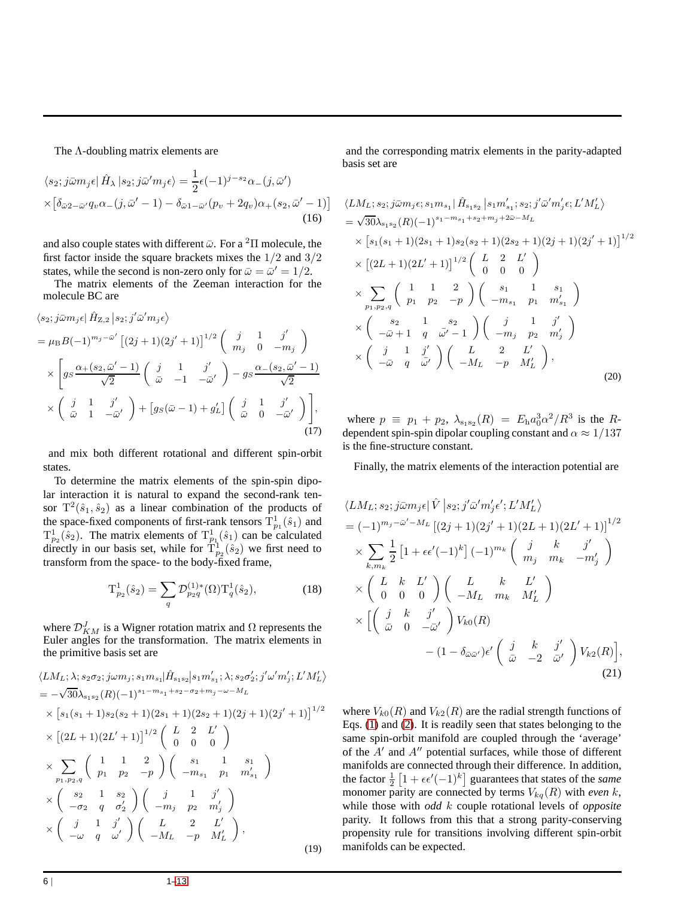#### The Λ-doubling matrix elements are

$$
\langle s_2; j\bar{\omega}m_j\epsilon | \hat{H}_\lambda | s_2; j\bar{\omega}'m_j\epsilon \rangle = \frac{1}{2}\epsilon(-1)^{j-s_2}\alpha_-(j,\bar{\omega}')
$$
  
 
$$
\times \left[ \delta_{\bar{\omega}2-\bar{\omega}'}q_v\alpha_-(j,\bar{\omega}'-1) - \delta_{\bar{\omega}1-\bar{\omega}'}(p_v+2q_v)\alpha_+(s_2,\bar{\omega}'-1) \right]
$$
(16)

and also couple states with different  $\bar{\omega}$ . For a <sup>2</sup>II molecule, the first factor inside the square brackets mixes the 1/2 and 3/2 states, while the second is non-zero only for  $\bar{\omega} = \bar{\omega}' = 1/2$ .

The matrix elements of the Zeeman interaction for the molecule BC are

$$
\langle s_2; j\bar{\omega}m_j\epsilon | \hat{H}_{Z,2} | s_2; j'\bar{\omega}'m_j\epsilon \rangle
$$
  
=  $\mu_{\rm B}B(-1)^{m_j-\bar{\omega}'} \left[ (2j+1)(2j'+1) \right]^{1/2} \begin{pmatrix} j & 1 & j' \\ m_j & 0 & -m_j \end{pmatrix}$   
 $\times \left[ gs \frac{\alpha_+(s_2, \bar{\omega}'-1)}{\sqrt{2}} \begin{pmatrix} j & 1 & j' \\ \bar{\omega} & -1 & -\bar{\omega}' \end{pmatrix} - gs \frac{\alpha_-(s_2, \bar{\omega}'-1)}{\sqrt{2}} \right]$   
 $\times \begin{pmatrix} j & 1 & j' \\ \bar{\omega} & 1 & -\bar{\omega}' \end{pmatrix} + \left[ gs(\bar{\omega}-1) + g'_L \right] \begin{pmatrix} j & 1 & j' \\ \bar{\omega} & 0 & -\bar{\omega}' \end{pmatrix} \Bigg],$   
(17)

and mix both different rotational and different spin-orbit states.

To determine the matrix elements of the spin-spin dipolar interaction it is natural to expand the second-rank tensor  $T^2(\hat{s}_1, \hat{s}_2)$  as a linear combination of the products of the space-fixed components of first-rank tensors  $T_{p_1}^1(\hat{s}_1)$  and  $T_{p_2}^1(\hat{s}_2)$ . The matrix elements of  $T_{p_1}^1(\hat{s}_1)$  can be calculated directly in our basis set, while for  $\mathrm{T}_{p_2}^1(\hat{s}_2)$  we first need to transform from the space- to the body-fixed frame,

$$
T_{p_2}^1(\hat{s}_2) = \sum_q \mathcal{D}_{p_2q}^{(1)*}(\Omega) T_q^1(\hat{s}_2),\tag{18}
$$

where  $\mathcal{D}_{KM}^J$  is a Wigner rotation matrix and  $\Omega$  represents the Euler angles for the transformation. The matrix elements in the primitive basis set are

$$
\langle LM_{L}; \lambda; s_{2}\sigma_{2}; j\omega m_{j}; s_{1}m_{s_{1}}|\hat{H}_{s_{1}s_{2}}|s_{1}m'_{s_{1}}; \lambda; s_{2}\sigma'_{2}; j'\omega'm'_{j}; L'M'_{L}\rangle
$$
  
\n
$$
= -\sqrt{30}\lambda_{s_{1}s_{2}}(R)(-1)^{s_{1}-m_{s_{1}}+s_{2}-\sigma_{2}+m_{j}-\omega-M_{L}}
$$
  
\n
$$
\times [s_{1}(s_{1}+1)s_{2}(s_{2}+1)(2s_{1}+1)(2s_{2}+1)(2j+1)(2j'+1)]^{1/2}
$$
  
\n
$$
\times [(2L+1)(2L'+1)]^{1/2} \begin{pmatrix} L & 2 & L' \\ 0 & 0 & 0 \end{pmatrix}
$$
  
\n
$$
\times \sum_{p_{1},p_{2},q} \begin{pmatrix} 1 & 1 & 2 \\ p_{1} & p_{2} & -p \end{pmatrix} \begin{pmatrix} s_{1} & 1 & s_{1} \\ -m_{s_{1}} & p_{1} & m'_{s_{1}} \end{pmatrix}
$$
  
\n
$$
\times \begin{pmatrix} s_{2} & 1 & s_{2} \\ -\sigma_{2} & q & \sigma'_{2} \end{pmatrix} \begin{pmatrix} j & 1 & j' \\ -m_{j} & p_{2} & m'_{j} \end{pmatrix}
$$
  
\n
$$
\times \begin{pmatrix} j & 1 & j' \\ -\omega & q & \omega' \end{pmatrix} \begin{pmatrix} L & 2 & L' \\ -M_{L} & -p & M'_{L} \end{pmatrix},
$$
  
\n(19)

and the corresponding matrix elements in the parity-adapted basis set are

$$
\langle LM_{L}; s_{2}; j\bar{\omega}m_{j}\epsilon; s_{1}m_{s_{1}} | \hat{H}_{s_{1}s_{2}} | s_{1}m'_{s_{1}}; s_{2}; j'\bar{\omega}'m'_{j}\epsilon; L'M'_{L} \rangle
$$
  
\n
$$
= \sqrt{30}\lambda_{s_{1}s_{2}}(R)(-1)^{s_{1}-m_{s_{1}}+s_{2}+m_{j}+2\bar{\omega}-M_{L}}
$$
  
\n
$$
\times [s_{1}(s_{1}+1)(2s_{1}+1)s_{2}(s_{2}+1)(2s_{2}+1)(2j+1)(2j'+1)]^{1/2}
$$
  
\n
$$
\times [(2L+1)(2L'+1)]^{1/2} \begin{pmatrix} L & 2 & L' \\ 0 & 0 & 0 \end{pmatrix}
$$
  
\n
$$
\times \sum_{p_{1},p_{2},q} \begin{pmatrix} 1 & 1 & 2 \\ p_{1} & p_{2} & -p \end{pmatrix} \begin{pmatrix} s_{1} & 1 & s_{1} \\ -m_{s_{1}} & p_{1} & m'_{s_{1}} \end{pmatrix}
$$
  
\n
$$
\times \begin{pmatrix} s_{2} & 1 & s_{2} \\ -\bar{\omega}+1 & q & \bar{\omega}'-1 \end{pmatrix} \begin{pmatrix} j & 1 & j' \\ -m_{j} & p_{2} & m'_{j} \end{pmatrix}
$$
  
\n
$$
\times \begin{pmatrix} j & 1 & j' \\ -\bar{\omega} & q & \bar{\omega}' \end{pmatrix} \begin{pmatrix} L & 2 & L' \\ -M_{L} & -p & M'_{L} \end{pmatrix},
$$
  
\n(20)

where  $p \equiv p_1 + p_2$ ,  $\lambda_{s_1 s_2}(R) = E_h a_0^3 \alpha^2 / R^3$  is the Rdependent spin-spin dipolar coupling constant and  $\alpha \approx 1/137$ is the fine-structure constant.

Finally, the matrix elements of the interaction potential are

$$
\langle LM_L; s_2; j\bar{\omega}m_j\epsilon | \hat{V} | s_2; j'\bar{\omega}'m_j'\epsilon'; L'M'_L \rangle
$$
  
=  $(-1)^{m_j - \bar{\omega}' - M_L} [(2j + 1)(2j' + 1)(2L + 1)(2L' + 1)]^{1/2}$   
 $\times \sum_{k,m_k} \frac{1}{2} \left[ 1 + \epsilon \epsilon' (-1)^k \right] (-1)^{m_k} \begin{pmatrix} j & k & j' \\ m_j & m_k & -m_j' \end{pmatrix}$   
 $\times \begin{pmatrix} L & k & L' \\ 0 & 0 & 0 \end{pmatrix} \begin{pmatrix} L & k & L' \\ -M_L & m_k & M'_L \end{pmatrix}$   
 $\times \begin{bmatrix} j & k & j' \\ \bar{\omega} & 0 & -\bar{\omega}' \end{bmatrix} V_{k0}(R)$   
 $- (1 - \delta_{\bar{\omega}\bar{\omega}'} ) \epsilon' \begin{pmatrix} j & k & j' \\ \bar{\omega} & -2 & \bar{\omega}' \end{pmatrix} V_{k2}(R) \end{bmatrix},$  (21)

where  $V_{k0}(R)$  and  $V_{k2}(R)$  are the radial strength functions of Eqs. [\(1\)](#page-3-0) and [\(2\)](#page-3-1). It is readily seen that states belonging to the same spin-orbit manifold are coupled through the 'average' of the  $A'$  and  $A''$  potential surfaces, while those of different manifolds are connected through their difference. In addition, the factor  $\frac{1}{2} \left[ 1 + \epsilon \epsilon' (-1)^k \right]$  guarantees that states of the *same* monomer parity are connected by terms  $V_{ka}(R)$  with *even* k, while those with *odd* k couple rotational levels of *opposite* parity. It follows from this that a strong parity-conserving propensity rule for transitions involving different spin-orbit manifolds can be expected.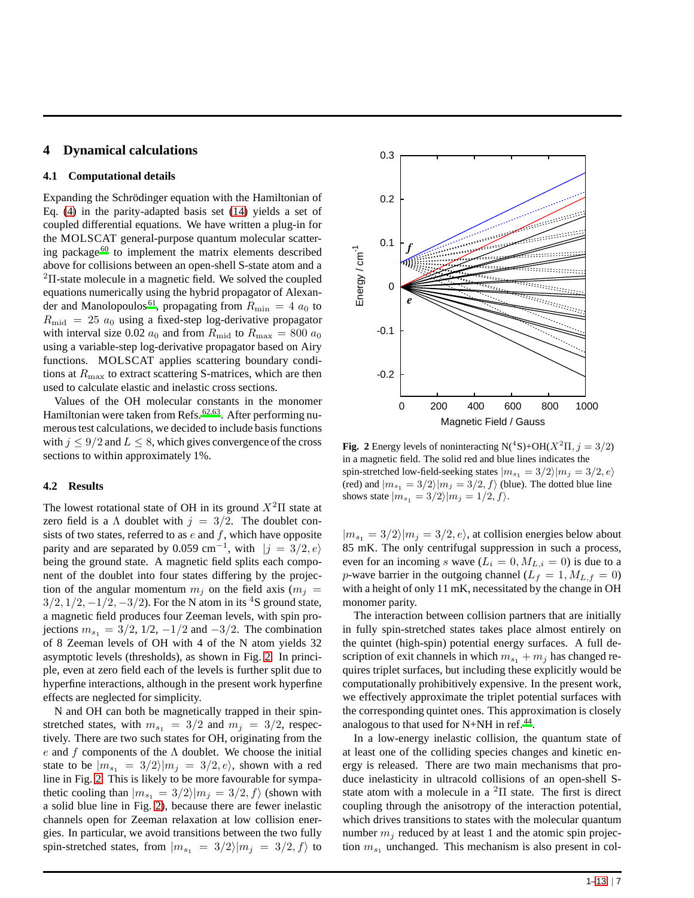## **4 Dynamical calculations**

## **4.1 Computational details**

Expanding the Schrödinger equation with the Hamiltonian of Eq. [\(4\)](#page-3-3) in the parity-adapted basis set [\(14\)](#page-4-1) yields a set of coupled differential equations. We have written a plug-in for the MOLSCAT general-purpose quantum molecular scattering package [60](#page-12-37) to implement the matrix elements described above for collisions between an open-shell S-state atom and a <sup>2</sup>Π-state molecule in a magnetic field. We solved the coupled equations numerically using the hybrid propagator of Alexan-der and Manolopoulos<sup>[61](#page-12-38)</sup>, propagating from  $R_{\text{min}} = 4 a_0$  to  $R_{\text{mid}} = 25 a_0$  using a fixed-step log-derivative propagator with interval size 0.02  $a_0$  and from  $R_{\text{mid}}$  to  $R_{\text{max}} = 800 a_0$ using a variable-step log-derivative propagator based on Airy functions. MOLSCAT applies scattering boundary conditions at  $R_{\text{max}}$  to extract scattering S-matrices, which are then used to calculate elastic and inelastic cross sections.

Values of the OH molecular constants in the monomer Hamiltonian were taken from Refs. [62](#page-12-39)[,63](#page-12-40). After performing numerous test calculations, we decided to include basis functions with  $j \leq 9/2$  and  $L \leq 8$ , which gives convergence of the cross sections to within approximately 1%.

## **4.2 Results**

The lowest rotational state of OH in its ground  $X<sup>2</sup>$ II state at zero field is a  $\Lambda$  doublet with  $j = 3/2$ . The doublet consists of two states, referred to as  $e$  and  $f$ , which have opposite parity and are separated by 0.059 cm<sup>-1</sup>, with  $|j = 3/2, e\rangle$ being the ground state. A magnetic field splits each component of the doublet into four states differing by the projection of the angular momentum  $m_i$  on the field axis ( $m_i =$  $3/2$ ,  $1/2$ ,  $-1/2$ ,  $-3/2$ ). For the N atom in its <sup>4</sup>S ground state, a magnetic field produces four Zeeman levels, with spin projections  $m_{s_1} = 3/2$ , 1/2,  $-1/2$  and  $-3/2$ . The combination of 8 Zeeman levels of OH with 4 of the N atom yields 32 asymptotic levels (thresholds), as shown in Fig. [2.](#page-6-0) In principle, even at zero field each of the levels is further split due to hyperfine interactions, although in the present work hyperfine effects are neglected for simplicity.

N and OH can both be magnetically trapped in their spinstretched states, with  $m_{s_1} = 3/2$  and  $m_j = 3/2$ , respectively. There are two such states for OH, originating from the e and f components of the  $\Lambda$  doublet. We choose the initial state to be  $|m_{s_1} = 3/2\rangle |m_j = 3/2, e\rangle$ , shown with a red line in Fig. [2.](#page-6-0) This is likely to be more favourable for sympathetic cooling than  $|m_{s_1} = 3/2\rangle |m_i = 3/2, f\rangle$  (shown with a solid blue line in Fig. [2\)](#page-6-0), because there are fewer inelastic channels open for Zeeman relaxation at low collision energies. In particular, we avoid transitions between the two fully spin-stretched states, from  $|m_{s_1}| = 3/2$  $|m_j| = 3/2, f$  to

<span id="page-6-0"></span>

**Fig. 2** Energy levels of noninteracting  $N({}^4S) + OH(X^2\Pi, i = 3/2)$ in a magnetic field. The solid red and blue lines indicates the spin-stretched low-field-seeking states  $|m_{s_1} = 3/2\rangle|m_j = 3/2, e\rangle$ (red) and  $|m_{s_1} = 3/2\rangle |m_j = 3/2, f\rangle$  (blue). The dotted blue line shows state  $|m_{s_1} = 3/2\rangle |m_j = 1/2, f\rangle$ .

 $|m_{s_1} = 3/2\rangle|m_j = 3/2, e\rangle$ , at collision energies below about 85 mK. The only centrifugal suppression in such a process, even for an incoming s wave  $(L_i = 0, M_{L,i} = 0)$  is due to a p-wave barrier in the outgoing channel ( $L_f = 1, M_{L,f} = 0$ ) with a height of only 11 mK, necessitated by the change in OH monomer parity.

The interaction between collision partners that are initially in fully spin-stretched states takes place almost entirely on the quintet (high-spin) potential energy surfaces. A full description of exit channels in which  $m_{s_1} + m_j$  has changed requires triplet surfaces, but including these explicitly would be computationally prohibitively expensive. In the present work, we effectively approximate the triplet potential surfaces with the corresponding quintet ones. This approximation is closely analogous to that used for N+NH in ref.<sup>[44](#page-12-25)</sup>.

In a low-energy inelastic collision, the quantum state of at least one of the colliding species changes and kinetic energy is released. There are two main mechanisms that produce inelasticity in ultracold collisions of an open-shell Sstate atom with a molecule in a  ${}^{2}$ Π state. The first is direct coupling through the anisotropy of the interaction potential, which drives transitions to states with the molecular quantum number  $m_i$  reduced by at least 1 and the atomic spin projection  $m_{s_1}$  unchanged. This mechanism is also present in col-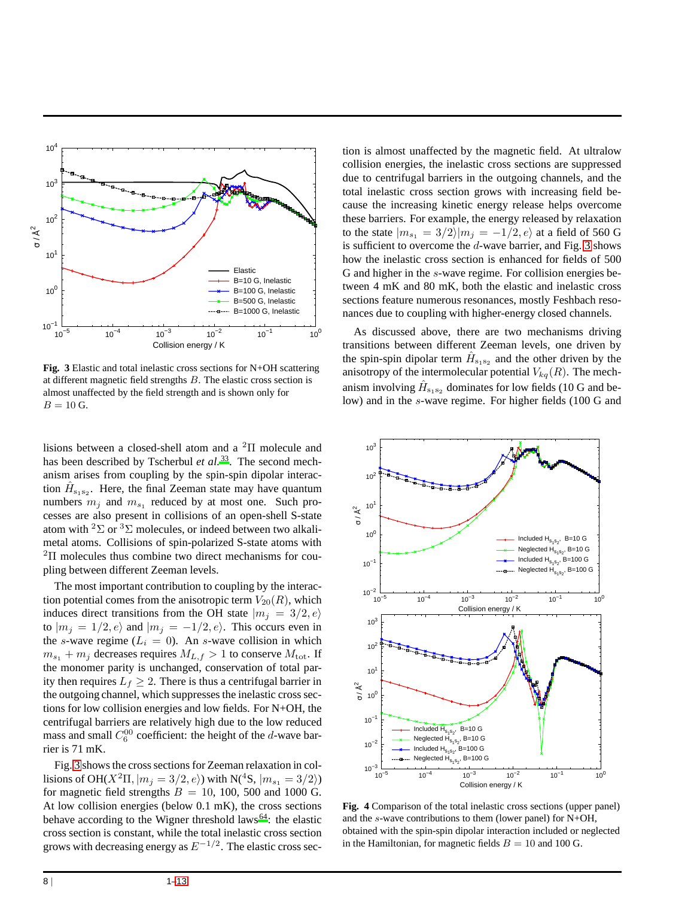<span id="page-7-0"></span>

**Fig. 3** Elastic and total inelastic cross sections for N+OH scattering at different magnetic field strengths B. The elastic cross section is almost unaffected by the field strength and is shown only for  $B = 10$  G.

lisions between a closed-shell atom and a <sup>2</sup>Π molecule and has been described by Tscherbul et al.<sup>[33](#page-12-15)</sup>. The second mechanism arises from coupling by the spin-spin dipolar interaction  $\hat{H}_{s_1s_2}$ . Here, the final Zeeman state may have quantum numbers  $m_j$  and  $m_{s_1}$  reduced by at most one. Such processes are also present in collisions of an open-shell S-state atom with <sup>2</sup> $\Sigma$  or <sup>3</sup> $\Sigma$  molecules, or indeed between two alkalimetal atoms. Collisions of spin-polarized S-state atoms with  $2\Pi$  molecules thus combine two direct mechanisms for coupling between different Zeeman levels.

The most important contribution to coupling by the interaction potential comes from the anisotropic term  $V_{20}(R)$ , which induces direct transitions from the OH state  $|m_i = 3/2, e\rangle$ to  $|m_j = 1/2, e\rangle$  and  $|m_j = -1/2, e\rangle$ . This occurs even in the s-wave regime  $(L_i = 0)$ . An s-wave collision in which  $m_{s_1} + m_j$  decreases requires  $M_{L,f} > 1$  to conserve  $M_{\text{tot}}$ . If the monomer parity is unchanged, conservation of total parity then requires  $L_f \geq 2$ . There is thus a centrifugal barrier in the outgoing channel, which suppresses the inelastic cross sections for low collision energies and low fields. For N+OH, the centrifugal barriers are relatively high due to the low reduced mass and small  $C_6^{00}$  coefficient: the height of the d-wave barrier is 71 mK.

Fig. [3](#page-7-0) shows the cross sections for Zeeman relaxation in collisions of OH( $X^2\Pi$ ,  $|m_j = 3/2, e\rangle$ ) with N(<sup>4</sup>S,  $|m_{s_1} = 3/2\rangle$ ) for magnetic field strengths  $B = 10$ , 100, 500 and 1000 G. At low collision energies (below 0.1 mK), the cross sections behave according to the Wigner threshold laws<sup>[64](#page-12-41)</sup>: the elastic cross section is constant, while the total inelastic cross section grows with decreasing energy as  $E^{-1/2}$ . The elastic cross section is almost unaffected by the magnetic field. At ultralow collision energies, the inelastic cross sections are suppressed due to centrifugal barriers in the outgoing channels, and the total inelastic cross section grows with increasing field because the increasing kinetic energy release helps overcome these barriers. For example, the energy released by relaxation to the state  $|m_{s_1} = 3/2\rangle |m_j = -1/2, e\rangle$  at a field of 560 G is sufficient to overcome the  $d$ -wave barrier, and Fig. [3](#page-7-0) shows how the inelastic cross section is enhanced for fields of 500 G and higher in the s-wave regime. For collision energies between 4 mK and 80 mK, both the elastic and inelastic cross sections feature numerous resonances, mostly Feshbach resonances due to coupling with higher-energy closed channels.

As discussed above, there are two mechanisms driving transitions between different Zeeman levels, one driven by the spin-spin dipolar term  $\hat{H}_{s_1s_2}$  and the other driven by the anisotropy of the intermolecular potential  $V_{kq}(R)$ . The mechanism involving  $\hat{H}_{s_1s_2}$  dominates for low fields (10 G and below) and in the s-wave regime. For higher fields (100 G and

<span id="page-7-1"></span>

**Fig. 4** Comparison of the total inelastic cross sections (upper panel) and the s-wave contributions to them (lower panel) for N+OH, obtained with the spin-spin dipolar interaction included or neglected in the Hamiltonian, for magnetic fields  $B = 10$  and 100 G.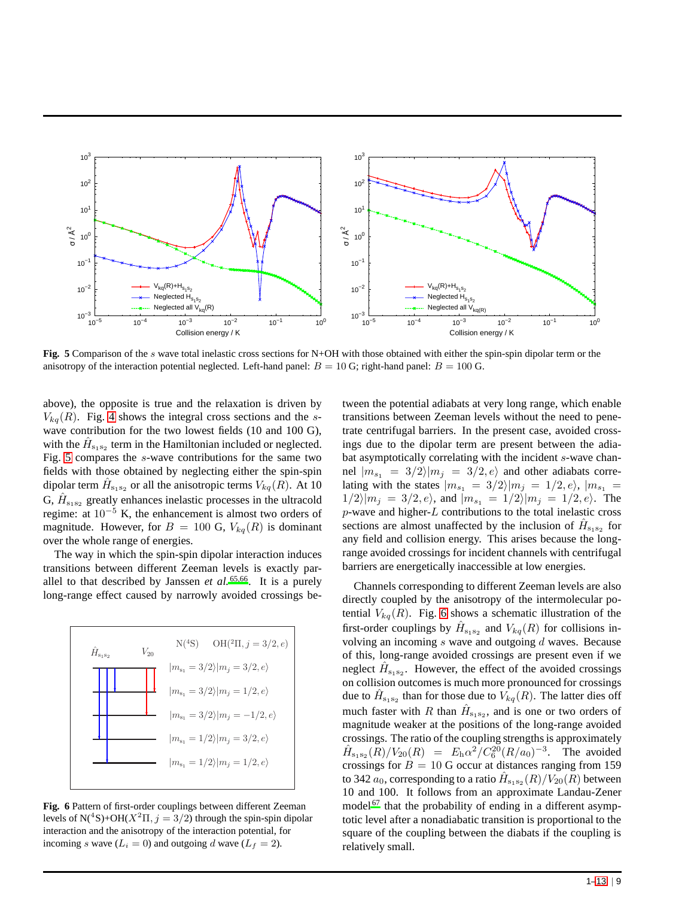<span id="page-8-0"></span>

**Fig. 5** Comparison of the s wave total inelastic cross sections for N+OH with those obtained with either the spin-spin dipolar term or the anisotropy of the interaction potential neglected. Left-hand panel:  $B = 10$  G; right-hand panel:  $B = 100$  G.

above), the opposite is true and the relaxation is driven by  $V_{kq}(R)$ . Fig. [4](#page-7-1) shows the integral cross sections and the swave contribution for the two lowest fields (10 and 100 G), with the  $\hat{H}_{s_1s_2}$  term in the Hamiltonian included or neglected. Fig. [5](#page-8-0) compares the s-wave contributions for the same two fields with those obtained by neglecting either the spin-spin dipolar term  $\hat{H}_{s_1s_2}$  or all the anisotropic terms  $V_{kq}(R)$ . At 10 G,  $\hat{H}_{s_1s_2}$  greatly enhances inelastic processes in the ultracold regime: at  $10^{-5}$  K, the enhancement is almost two orders of magnitude. However, for  $B = 100$  G,  $V_{kq}(R)$  is dominant over the whole range of energies.

The way in which the spin-spin dipolar interaction induces transitions between different Zeeman levels is exactly parallel to that described by Janssen *et al.* [65](#page-12-42)[,66](#page-12-43). It is a purely long-range effect caused by narrowly avoided crossings be-

<span id="page-8-1"></span>

**Fig. 6** Pattern of first-order couplings between different Zeeman levels of  $N(^{4}S) + OH(X^{2}\Pi, j = 3/2)$  through the spin-spin dipolar interaction and the anisotropy of the interaction potential, for incoming s wave  $(L_i = 0)$  and outgoing d wave  $(L_f = 2)$ .

tween the potential adiabats at very long range, which enable transitions between Zeeman levels without the need to penetrate centrifugal barriers. In the present case, avoided crossings due to the dipolar term are present between the adiabat asymptotically correlating with the incident s-wave channel  $|m_{s_1} = 3/2\rangle |m_j = 3/2, e\rangle$  and other adiabats correlating with the states  $|m_{s_1} = 3/2\rangle |m_j = 1/2, e\rangle$ ,  $|m_{s_1}| =$  $1/2\langle m_i = 3/2, e \rangle$ , and  $|m_{s_1} = 1/2\rangle |m_i = 1/2, e \rangle$ . The  $p$ -wave and higher- $L$  contributions to the total inelastic cross sections are almost unaffected by the inclusion of  $\hat{H}_{s_1s_2}$  for any field and collision energy. This arises because the longrange avoided crossings for incident channels with centrifugal barriers are energetically inaccessible at low energies.

Channels corresponding to different Zeeman levels are also directly coupled by the anisotropy of the intermolecular potential  $V_{kq}(R)$ . Fig. [6](#page-8-1) shows a schematic illustration of the first-order couplings by  $\hat{H}_{s_1s_2}$  and  $V_{kq}(R)$  for collisions involving an incoming  $s$  wave and outgoing  $d$  waves. Because of this, long-range avoided crossings are present even if we neglect  $\hat{H}_{s_1s_2}$ . However, the effect of the avoided crossings on collision outcomes is much more pronounced for crossings due to  $\hat{H}_{s_1s_2}$  than for those due to  $V_{kq}(R)$ . The latter dies off much faster with R than  $\hat{H}_{s_1s_2}$ , and is one or two orders of magnitude weaker at the positions of the long-range avoided crossings. The ratio of the coupling strengths is approximately  $\hat{H}_{s_1s_2}(R)/V_{20}(R) = E_h \alpha^2/C_6^{20}(R/a_0)^{-3}$ . The avoided crossings for  $B = 10$  G occur at distances ranging from 159 to 342  $a_0$ , corresponding to a ratio  $\hat H_{\text{s}_1\text{s}_2}(R)/V_{20}(R)$  between 10 and 100. It follows from an approximate Landau-Zener model<sup> $67$ </sup> that the probability of ending in a different asymptotic level after a nonadiabatic transition is proportional to the square of the coupling between the diabats if the coupling is relatively small.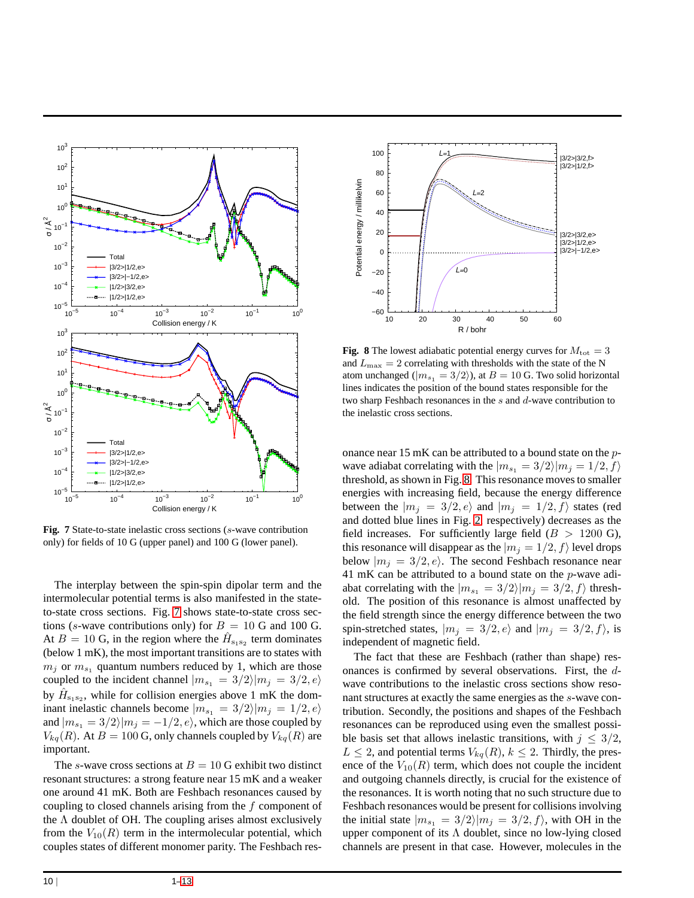<span id="page-9-0"></span>

**Fig. 7** State-to-state inelastic cross sections (s-wave contribution only) for fields of 10 G (upper panel) and 100 G (lower panel).

The interplay between the spin-spin dipolar term and the intermolecular potential terms is also manifested in the stateto-state cross sections. Fig. [7](#page-9-0) shows state-to-state cross sections (s-wave contributions only) for  $B = 10$  G and 100 G. At  $B = 10$  G, in the region where the  $\hat{H}_{s_1 s_2}$  term dominates (below 1 mK), the most important transitions are to states with  $m_j$  or  $m_{s_1}$  quantum numbers reduced by 1, which are those coupled to the incident channel  $|m_{s_1} = 3/2\rangle |m_j = 3/2, e\rangle$ by  $\hat{H}_{s_1s_2}$ , while for collision energies above 1 mK the dominant inelastic channels become  $|m_{s_1} = 3/2\rangle |m_j = 1/2, e\rangle$ and  $|m_{s_1} = 3/2\rangle |m_j = -1/2, e\rangle$ , which are those coupled by  $V_{kq}(R)$ . At  $B = 100$  G, only channels coupled by  $V_{kq}(R)$  are important.

The s-wave cross sections at  $B = 10$  G exhibit two distinct resonant structures: a strong feature near 15 mK and a weaker one around 41 mK. Both are Feshbach resonances caused by coupling to closed channels arising from the  $f$  component of the  $\Lambda$  doublet of OH. The coupling arises almost exclusively from the  $V_{10}(R)$  term in the intermolecular potential, which couples states of different monomer parity. The Feshbach res-

<span id="page-9-1"></span>

**Fig. 8** The lowest adiabatic potential energy curves for  $M_{\text{tot}} = 3$ and  $L_{\text{max}} = 2$  correlating with thresholds with the state of the N atom unchanged ( $|m_{s_1} = 3/2\rangle$ ), at  $B = 10$  G. Two solid horizontal lines indicates the position of the bound states responsible for the two sharp Feshbach resonances in the s and d-wave contribution to the inelastic cross sections.

onance near 15 mK can be attributed to a bound state on the pwave adiabat correlating with the  $|m_{s_1} = 3/2\rangle |m_j = 1/2, f\rangle$ threshold, as shown in Fig. [8.](#page-9-1) This resonance moves to smaller energies with increasing field, because the energy difference between the  $|m_i = 3/2, e\rangle$  and  $|m_i = 1/2, f\rangle$  states (red and dotted blue lines in Fig. [2,](#page-6-0) respectively) decreases as the field increases. For sufficiently large field  $(B > 1200 \text{ G})$ , this resonance will disappear as the  $|m_j = 1/2, f\rangle$  level drops below  $|m_j = 3/2, e\rangle$ . The second Feshbach resonance near 41 mK can be attributed to a bound state on the p-wave adiabat correlating with the  $|m_{s_1} = 3/2\rangle |m_j = 3/2, f\rangle$  threshold. The position of this resonance is almost unaffected by the field strength since the energy difference between the two spin-stretched states,  $|m_j = 3/2, e\rangle$  and  $|m_j = 3/2, f\rangle$ , is independent of magnetic field.

The fact that these are Feshbach (rather than shape) resonances is confirmed by several observations. First, the dwave contributions to the inelastic cross sections show resonant structures at exactly the same energies as the s-wave contribution. Secondly, the positions and shapes of the Feshbach resonances can be reproduced using even the smallest possible basis set that allows inelastic transitions, with  $j \leq 3/2$ ,  $L \leq 2$ , and potential terms  $V_{kq}(R)$ ,  $k \leq 2$ . Thirdly, the presence of the  $V_{10}(R)$  term, which does not couple the incident and outgoing channels directly, is crucial for the existence of the resonances. It is worth noting that no such structure due to Feshbach resonances would be present for collisions involving the initial state  $|m_{s_1} = 3/2\rangle |m_j = 3/2, f\rangle$ , with OH in the upper component of its  $\Lambda$  doublet, since no low-lying closed channels are present in that case. However, molecules in the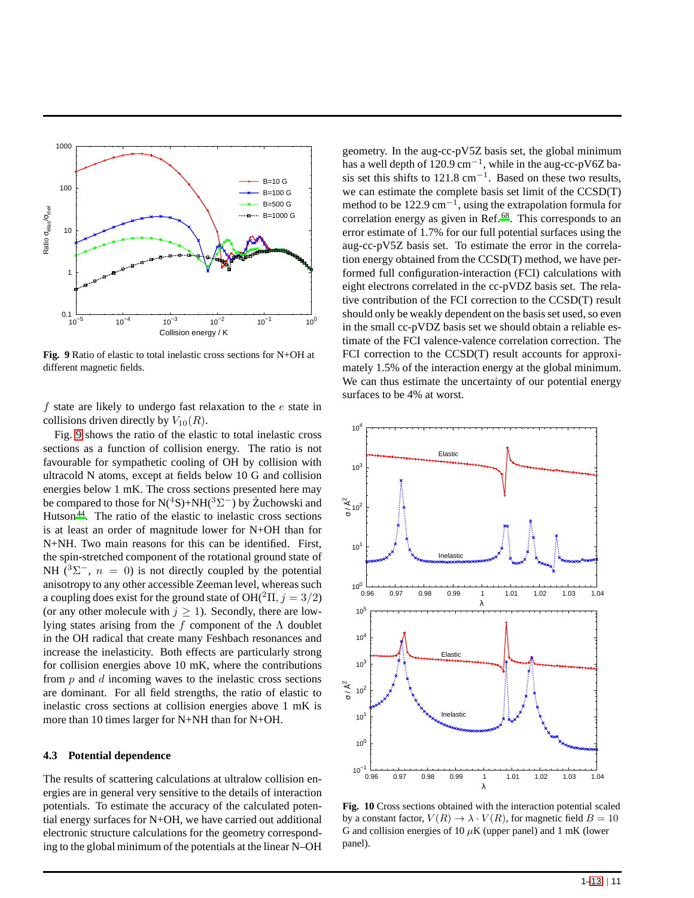<span id="page-10-0"></span>

**Fig. 9** Ratio of elastic to total inelastic cross sections for N+OH at different magnetic fields.

f state are likely to undergo fast relaxation to the  $e$  state in collisions driven directly by  $V_{10}(R)$ .

Fig. [9](#page-10-0) shows the ratio of the elastic to total inelastic cross sections as a function of collision energy. The ratio is not favourable for sympathetic cooling of OH by collision with ultracold N atoms, except at fields below 10 G and collision energies below 1 mK. The cross sections presented here may be compared to those for N(<sup>4</sup>S)+NH(<sup>3</sup> $\Sigma$ <sup>-</sup>) by Żuchowski and Hutson<sup>[44](#page-12-25)</sup>. The ratio of the elastic to inelastic cross sections is at least an order of magnitude lower for N+OH than for N+NH. Two main reasons for this can be identified. First, the spin-stretched component of the rotational ground state of NH  $(^{3}\Sigma^{-}$ ,  $n = 0$ ) is not directly coupled by the potential anisotropy to any other accessible Zeeman level, whereas such a coupling does exist for the ground state of  $OH(^{2}\Pi, j = 3/2)$ (or any other molecule with  $j \ge 1$ ). Secondly, there are lowlying states arising from the f component of the  $\Lambda$  doublet in the OH radical that create many Feshbach resonances and increase the inelasticity. Both effects are particularly strong for collision energies above 10 mK, where the contributions from  $p$  and  $d$  incoming waves to the inelastic cross sections are dominant. For all field strengths, the ratio of elastic to inelastic cross sections at collision energies above 1 mK is more than 10 times larger for N+NH than for N+OH.

## **4.3 Potential dependence**

The results of scattering calculations at ultralow collision energies are in general very sensitive to the details of interaction potentials. To estimate the accuracy of the calculated potential energy surfaces for N+OH, we have carried out additional electronic structure calculations for the geometry corresponding to the global minimum of the potentials at the linear N–OH

geometry. In the aug-cc-pV5Z basis set, the global minimum has a well depth of  $120.9 \text{ cm}^{-1}$ , while in the aug-cc-pV6Z basis set this shifts to  $121.8 \text{ cm}^{-1}$ . Based on these two results, we can estimate the complete basis set limit of the CCSD(T) method to be 122.9 cm<sup>-1</sup>, using the extrapolation formula for correlation energy as given in Ref.<sup>[68](#page-12-45)</sup>. This corresponds to an error estimate of 1.7% for our full potential surfaces using the aug-cc-pV5Z basis set. To estimate the error in the correlation energy obtained from the CCSD(T) method, we have performed full configuration-interaction (FCI) calculations with eight electrons correlated in the cc-pVDZ basis set. The relative contribution of the FCI correction to the CCSD(T) result should only be weakly dependent on the basis set used, so even in the small cc-pVDZ basis set we should obtain a reliable estimate of the FCI valence-valence correlation correction. The FCI correction to the CCSD(T) result accounts for approximately 1.5% of the interaction energy at the global minimum. We can thus estimate the uncertainty of our potential energy surfaces to be 4% at worst.

<span id="page-10-1"></span>

**Fig. 10** Cross sections obtained with the interaction potential scaled by a constant factor,  $V(R) \rightarrow \lambda \cdot V(R)$ , for magnetic field  $B = 10$ G and collision energies of 10  $\mu$ K (upper panel) and 1 mK (lower panel).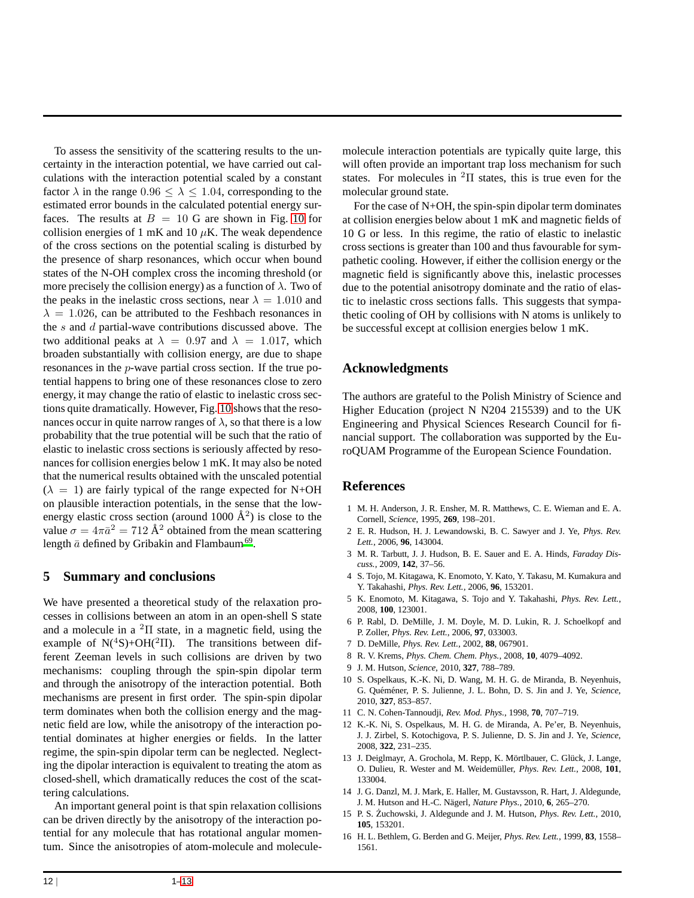To assess the sensitivity of the scattering results to the uncertainty in the interaction potential, we have carried out calculations with the interaction potential scaled by a constant factor  $\lambda$  in the range  $0.96 \leq \lambda \leq 1.04$ , corresponding to the estimated error bounds in the calculated potential energy surfaces. The results at  $B = 10$  $B = 10$  G are shown in Fig. 10 for collision energies of 1 mK and 10  $\mu$ K. The weak dependence of the cross sections on the potential scaling is disturbed by the presence of sharp resonances, which occur when bound states of the N-OH complex cross the incoming threshold (or more precisely the collision energy) as a function of  $\lambda$ . Two of the peaks in the inelastic cross sections, near  $\lambda = 1.010$  and  $\lambda = 1.026$ , can be attributed to the Feshbach resonances in the  $s$  and  $d$  partial-wave contributions discussed above. The two additional peaks at  $\lambda = 0.97$  and  $\lambda = 1.017$ , which broaden substantially with collision energy, are due to shape resonances in the p-wave partial cross section. If the true potential happens to bring one of these resonances close to zero energy, it may change the ratio of elastic to inelastic cross sections quite dramatically. However, Fig. [10](#page-10-1) shows that the resonances occur in quite narrow ranges of  $\lambda$ , so that there is a low probability that the true potential will be such that the ratio of elastic to inelastic cross sections is seriously affected by resonances for collision energies below 1 mK. It may also be noted that the numerical results obtained with the unscaled potential  $(\lambda = 1)$  are fairly typical of the range expected for N+OH on plausible interaction potentials, in the sense that the lowenergy elastic cross section (around 1000  $\AA^2$ ) is close to the value  $\sigma = 4\pi \bar{a}^2 = 712 \text{ Å}^2$  obtained from the mean scattering length  $\bar{a}$  defined by Gribakin and Flambaum<sup>[69](#page-12-46)</sup>.

## **5 Summary and conclusions**

We have presented a theoretical study of the relaxation processes in collisions between an atom in an open-shell S state and a molecule in a  ${}^{2}$ II state, in a magnetic field, using the example of  $N(^4S) + OH(^2\Pi)$ . The transitions between different Zeeman levels in such collisions are driven by two mechanisms: coupling through the spin-spin dipolar term and through the anisotropy of the interaction potential. Both mechanisms are present in first order. The spin-spin dipolar term dominates when both the collision energy and the magnetic field are low, while the anisotropy of the interaction potential dominates at higher energies or fields. In the latter regime, the spin-spin dipolar term can be neglected. Neglecting the dipolar interaction is equivalent to treating the atom as closed-shell, which dramatically reduces the cost of the scattering calculations.

An important general point is that spin relaxation collisions can be driven directly by the anisotropy of the interaction potential for any molecule that has rotational angular momentum. Since the anisotropies of atom-molecule and moleculemolecule interaction potentials are typically quite large, this will often provide an important trap loss mechanism for such states. For molecules in <sup>2</sup>Π states, this is true even for the molecular ground state.

For the case of N+OH, the spin-spin dipolar term dominates at collision energies below about 1 mK and magnetic fields of 10 G or less. In this regime, the ratio of elastic to inelastic cross sections is greater than 100 and thus favourable for sympathetic cooling. However, if either the collision energy or the magnetic field is significantly above this, inelastic processes due to the potential anisotropy dominate and the ratio of elastic to inelastic cross sections falls. This suggests that sympathetic cooling of OH by collisions with N atoms is unlikely to be successful except at collision energies below 1 mK.

# **Acknowledgments**

The authors are grateful to the Polish Ministry of Science and Higher Education (project N N204 215539) and to the UK Engineering and Physical Sciences Research Council for financial support. The collaboration was supported by the EuroQUAM Programme of the European Science Foundation.

# **References**

- <span id="page-11-0"></span>1 M. H. Anderson, J. R. Ensher, M. R. Matthews, C. E. Wieman and E. A. Cornell, *Science*, 1995, **269**, 198–201.
- <span id="page-11-1"></span>2 E. R. Hudson, H. J. Lewandowski, B. C. Sawyer and J. Ye, *Phys. Rev. Lett.*, 2006, **96**, 143004.
- <span id="page-11-2"></span>3 M. R. Tarbutt, J. J. Hudson, B. E. Sauer and E. A. Hinds, *Faraday Discuss.*, 2009, **142**, 37–56.
- <span id="page-11-3"></span>4 S. Tojo, M. Kitagawa, K. Enomoto, Y. Kato, Y. Takasu, M. Kumakura and Y. Takahashi, *Phys. Rev. Lett.*, 2006, **96**, 153201.
- <span id="page-11-4"></span>5 K. Enomoto, M. Kitagawa, S. Tojo and Y. Takahashi, *Phys. Rev. Lett.*, 2008, **100**, 123001.
- <span id="page-11-5"></span>6 P. Rabl, D. DeMille, J. M. Doyle, M. D. Lukin, R. J. Schoelkopf and P. Zoller, *Phys. Rev. Lett.*, 2006, **97**, 033003.
- <span id="page-11-6"></span>7 D. DeMille, *Phys. Rev. Lett.*, 2002, **88**, 067901.
- <span id="page-11-7"></span>8 R. V. Krems, *Phys. Chem. Chem. Phys.*, 2008, **10**, 4079–4092.
- 9 J. M. Hutson, *Science*, 2010, **327**, 788–789.
- <span id="page-11-8"></span>10 S. Ospelkaus, K.-K. Ni, D. Wang, M. H. G. de Miranda, B. Neyenhuis, G. Quéméner, P. S. Julienne, J. L. Bohn, D. S. Jin and J. Ye, *Science*, 2010, **327**, 853–857.
- <span id="page-11-9"></span>11 C. N. Cohen-Tannoudji, *Rev. Mod. Phys.*, 1998, **70**, 707–719.
- <span id="page-11-10"></span>12 K.-K. Ni, S. Ospelkaus, M. H. G. de Miranda, A. Pe'er, B. Neyenhuis, J. J. Zirbel, S. Kotochigova, P. S. Julienne, D. S. Jin and J. Ye, *Science*, 2008, **322**, 231–235.
- 13 J. Deiglmayr, A. Grochola, M. Repp, K. Mörtlbauer, C. Glück, J. Lange, O. Dulieu, R. Wester and M. Weidem¨uller, *Phys. Rev. Lett.*, 2008, **101**, 133004.
- <span id="page-11-11"></span>14 J. G. Danzl, M. J. Mark, E. Haller, M. Gustavsson, R. Hart, J. Aldegunde, J. M. Hutson and H.-C. N¨agerl, *Nature Phys.*, 2010, **6**, 265–270.
- <span id="page-11-12"></span>15 P. S. Zuchowski, J. Aldegunde and J. M. Hutson, *Phys. Rev. Lett.*, 2010, **105**, 153201.
- <span id="page-11-13"></span>16 H. L. Bethlem, G. Berden and G. Meijer, *Phys. Rev. Lett.*, 1999, **83**, 1558– 1561.